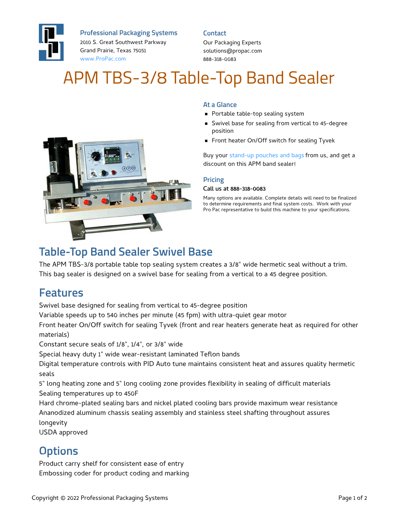

**Professional Packaging Systems**

2010 S. Great Southwest Parkway Grand Prairie, Texas 75051 [www.ProPac.com](https://www.propac.com/)

#### **Contact**

Our Packaging Experts solutions@propac.com 888-318-0083

# APM TBS-3/8 Table-Top Band Sealer



### **At a Glance**

- **Portable table-top sealing system**
- Swivel base for sealing from vertical to 45-degree position
- Front heater On/Off switch for sealing Tyvek

Buy your [stand-up](file:///custom-materials/wicket-bags-pouches/) pouches and bags from us, and get a discount on this APM band sealer!

#### **Pricing**

#### Call us at 888-318-0083

Many options are available. Complete details will need to be finalized to determine requirements and final system costs. Work with your Pro Pac representative to build this machine to your specifications.

### **Table-Top Band Sealer Swivel Base**

The APM TBS-3/8 portable table top sealing system creates a 3/8" wide hermetic seal without a trim. This bag sealer is designed on a swivel base for sealing from a vertical to a 45 degree position.

### **Features**

Swivel base designed for sealing from vertical to 45-degree position

Variable speeds up to 540 inches per minute (45 fpm) with ultra-quiet gear motor

Front heater On/Off switch for sealing Tyvek (front and rear heaters generate heat as required for other materials)

Constant secure seals of 1/8", 1/4", or 3/8" wide

Special heavy duty 1" wide wear-resistant laminated Teflon bands

Digital temperature controls with PID Auto tune maintains consistent heat and assures quality hermetic seals

5" long heating zone and 5" long cooling zone provides flexibility in sealing of difficult materials Sealing temperatures up to 450F

Hard chrome-plated sealing bars and nickel plated cooling bars provide maximum wear resistance Ananodized aluminum chassis sealing assembly and stainless steel shafting throughout assures longevity

USDA approved

## **Options**

Product carry shelf for consistent ease of entry Embossing coder for product coding and marking